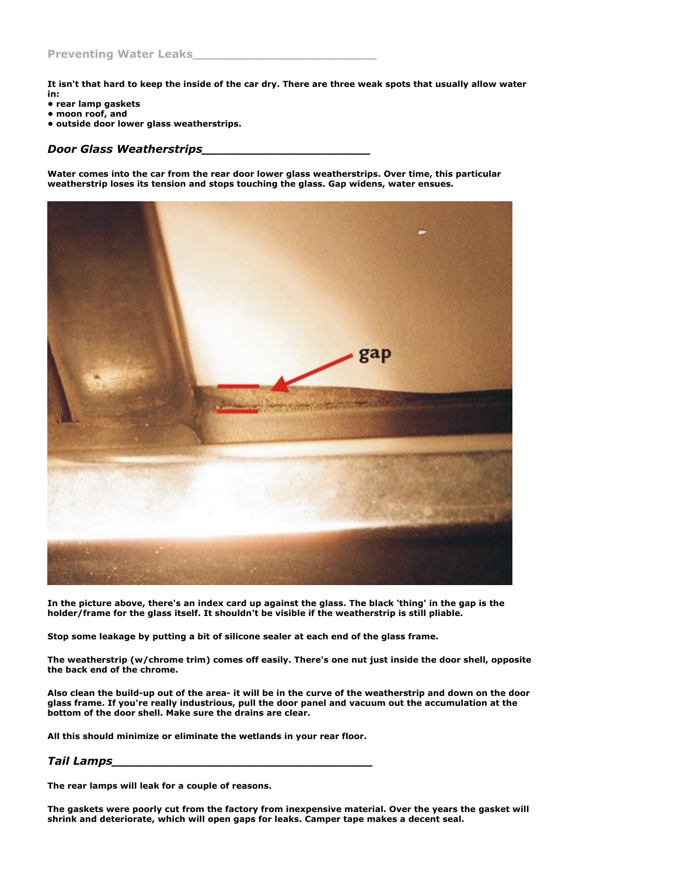**It isn't that hard to keep the inside of the car dry. There are three weak spots that usually allow water**

- **in: • rear lamp gaskets**
- **moon roof, and**
- **outside door lower glass weatherstrips.**

## *Door Glass Weatherstrips\_\_\_\_\_\_\_\_\_\_\_\_\_\_\_\_\_\_\_\_\_\_*

**Water comes into the car from the rear door lower glass weatherstrips. Over time, this particular weatherstrip loses its tension and stops touching the glass. Gap widens, water ensues.**



**In the picture above, there's an index card up against the glass. The black 'thing' in the gap is the holder/frame for the glass itself. It shouldn't be visible if the weatherstrip is still pliable.**

**Stop some leakage by putting a bit of silicone sealer at each end of the glass frame.**

**The weatherstrip (w/chrome trim) comes off easily. There's one nut just inside the door shell, opposite the back end of the chrome.**

Also clean the build-up out of the area- it will be in the curve of the weatherstrip and down on the door **glass frame. If you're really industrious, pull the door panel and vacuum out the accumulation at the bottom of the door shell. Make sure the drains are clear.**

**All this should minimize or eliminate the wetlands in your rear floor.**

## *Tail Lamps\_\_\_\_\_\_\_\_\_\_\_\_\_\_\_\_\_\_\_\_\_\_\_\_\_\_\_\_\_\_\_\_\_\_*

**The rear lamps will leak for a couple of reasons.**

**The gaskets were poorly cut from the factory from inexpensive material. Over the years the gasket will shrink and deteriorate, which will open gaps for leaks. Camper tape makes a decent seal.**